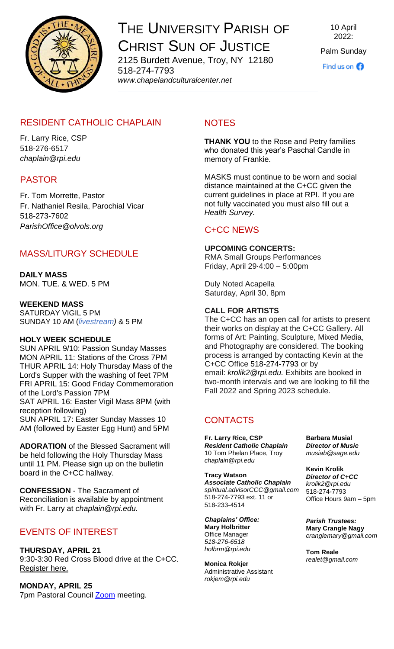

# THE UNIVERSITY PARISH OF CHRIST SUN OF JUSTICE 2125 Burdett Avenue, Troy, NY 12180

518-274-7793 *www[.chapelandculturalcenter.net](https://chapelandculturalcenter.net/)* 10 April 2022:

Palm Sunday

Find us on  $\bigcirc$ 

# RESIDENT CATHOLIC CHAPLAIN

Fr. Larry Rice, CSP 518-276-6517 *[chaplain@rpi.edu](mailto:chaplain@rpi.edu)*

### PASTOR

Fr. Tom Morrette, Pastor Fr. Nathaniel Resila, Parochial Vicar 518-273-7602 *[ParishOffice@olvols.org](mailto:ParishOffice@olvols.org)*

# MASS/LITURGY SCHEDULE

#### **DAILY MASS** MON. TUE. & WED. 5 PM

#### **WEEKEND MASS**

SATURDAY VIGIL 5 PM SUNDAY 10 AM (*[livestream\)](https://www.facebook.com/ChristSunofJustice/live/)* & 5 PM

#### **HOLY WEEK SCHEDULE**

SUN APRIL 9/10: Passion Sunday Masses MON APRIL 11: Stations of the Cross 7PM THUR APRIL 14: Holy Thursday Mass of the Lord's Supper with the washing of feet 7PM FRI APRIL 15: Good Friday Commemoration of the Lord's Passion 7PM SAT APRIL 16: Easter Vigil Mass 8PM (with reception following) SUN APRIL 17: Easter Sunday Masses 10 AM (followed by Easter Egg Hunt) and 5PM

**ADORATION** of the Blessed Sacrament will be held following the Holy Thursday Mass until 11 PM. Please sign up on the bulletin board in the C+CC hallway.

**CONFESSION** - The Sacrament of Reconciliation is available by appointment with Fr. Larry at *[chaplain@rpi.edu.](mailto:chaplain@rpi.edu)*

# EVENTS OF INTEREST

#### **THURSDAY, APRIL 21**

9:30-3:30 Red Cross Blood drive at the C+CC. [Register here.](https://www.redcrossblood.org/give.html/find-drive)

#### **MONDAY, APRIL 25**

7pm Pastoral Council [Zoom](https://us06web.zoom.us/j/87671035724?pwd=aHlUT0pxcUp2aUtDb3JZTVA0a1lLUT09) meeting.

# **NOTES**

**THANK YOU** to the Rose and Petry families who donated this year's Paschal Candle in memory of Frankie.

MASKS must continue to be worn and social distance maintained at the C+CC given the current guidelines in place at RPI. If you are not fully vaccinated you must also fill out a *[Health Survey.](https://www.chapelandculturalcenter.net/health-survey/)*

### C+CC NEWS

#### **UPCOMING CONCERTS:**

RMA Small Groups Performances Friday, April 29⋅4:00 – 5:00pm

Duly Noted Acapella Saturday, April 30, 8pm

#### **CALL FOR ARTISTS**

The C+CC has an open call for artists to present their works on display at the C+CC Gallery. All forms of Art: Painting, Sculpture, Mixed Media, and Photography are considered. The booking process is arranged by contacting Kevin at the C+CC Office [518-274-7793](tel:5182747793) or by email: *[krolik2@rpi.edu.](mailto:krolik2@rpi.edu)* Exhibits are booked in two-month intervals and we are looking to fill the Fall 2022 and Spring 2023 schedule.

# **CONTACTS**

**Fr. Larry Rice, CSP** *Resident Catholic Chaplain* 10 Tom Phelan Place, Troy *[chaplain@rpi.edu](mailto:chaplain@rpi.edu)*

**Tracy Watson**  *Associate Catholic Chaplain [spiritual.advisorCCC@gmail.com](mailto:spiritual.advisorCCC@gmail.com)* 518-274-7793 ext. 11 or 518-233-4514

*Chaplains' Office:*  **Mary Holbritter** Office Manager *518-276-6518 [holbrm@rpi.edu](mailto:holbrm@rpi.edu)*

**Monica Rokjer** Administrative Assistant *[rokjem@rpi.edu](mailto:rokjem@rpi.edu)*

**Barbara Musial** *Director of Music [musiab@sage.edu](mailto:musiab@sage.edu)*

**Kevin Krolik** *Director of [C+CC](http://www.chapelandculturalcenter.net/) [krolik2@rpi.edu](mailto:krolik2@rpi.edu)*  518-274-7793 Office [Ho](mailto:realet@gmail.com)urs 9am – 5pm

*Parish Trustees:* **Mary Crangle Nagy**  *[cranglemary@gmail.com](mailto:cranglemary@gmail.com)*

**Tom Reale** *[realet@gmail.com](mailto:realet@gmail.com)*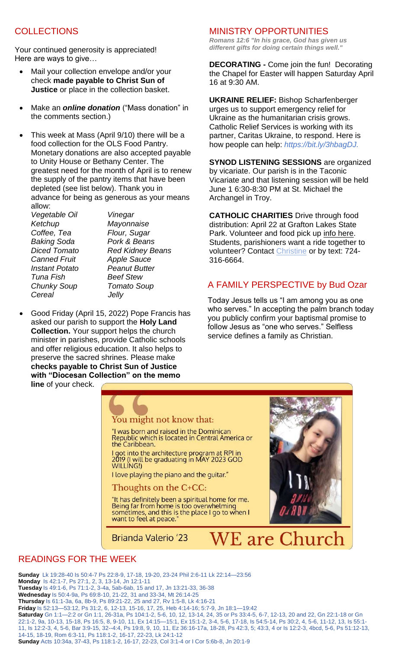# **COLLECTIONS**

Your continued generosity is appreciated! Here are ways to give…

- Mail your collection envelope and/or your check **made payable to Christ Sun of Justice** or place in the collection basket.
- Make an *[online donation](http://chapelandculturalcenter.net/give-back/)* ("Mass donation" in the comments section.)
- This week at Mass (April 9/10) there will be a food collection for the OLS Food Pantry. Monetary donations are also accepted payable to Unity House or Bethany Center. The greatest need for the month of April is to renew the supply of the pantry items that have been depleted (see list below). Thank you in advance for being as generous as your means allow:

*Vegetable Oil Vinegar Ketchup Mayonnaise Coffee, Tea Flour, Sugar Baking Soda Pork & Beans Canned Fruit Apple Sauce Instant Potato Peanut Butter Tuna Fish Beef Stew Chunky Soup Tomato Soup Cereal Jelly*

*Diced Tomato Red Kidney Beans*

 Good Friday (April 15, 2022) Pope Francis has asked our parish to support the **Holy Land Collection.** Your support helps the church minister in parishes, provide Catholic schools and offer religious education. It also helps to preserve the sacred shrines. Please make **checks payable to Christ Sun of Justice with "Diocesan Collection" on the memo** 

**line** of your check.

#### MINISTRY OPPORTUNITIES

*Romans 12:6 "In his grace, God has given us different gifts for doing certain things well."*

**DECORATING -** Come join the fun! Decorating the Chapel for Easter will happen Saturday April 16 at 9:30 AM.

**UKRAINE RELIEF:** Bishop Scharfenberger urges us to support emergency relief for Ukraine as the humanitarian crisis grows. Catholic Relief Services is working with its partner, Caritas Ukraine, to respond. Here is how people can help: *[https://bit.ly/3hbagDJ.](https://bit.ly/3hbagDJ?fbclid=IwAR2WH4XjxT8SMX13STGtLq5eJCWROSPwFKRGmLtdKxIzpgOxJV0PzNPxfpk)*

**SYNOD LISTENING SESSIONS** are organized by vicariate. Our parish is in the Taconic Vicariate and that listening session will be held June 1 6:30-8:30 PM at St. Michael the Archangel in Troy.

**CATHOLIC CHARITIES** Drive through food distribution: April 22 at Grafton Lakes State Park. Volunteer and food pick up [info here.](https://www.facebook.com/events/1650411651987675?acontext=%7B%22event_action_history%22%3A%5b%7B%22surface%22%3A%22page%22%7D%5d%7D) Students, parishioners want a ride together to volunteer? Contact [Christine](mailto:crelyea28@gmail.com?subject=April%2022%20Drive%20Thru%20Grafton) or by text: 724- 316-6664.

# A FAMILY PERSPECTIVE by Bud Ozar

Today Jesus tells us "I am among you as one who serves." In accepting the palm branch today you publicly confirm your baptismal promise to follow Jesus as "one who serves." Selfless service defines a family as Christian.



### READINGS FOR THE WEEK

**Sunday** [Lk 19:28-40 Is 50:4-7 Ps 22:8-9, 17-18, 19-20, 23-24 Phil 2:6-11 Lk 22:14—23:56](https://bible.usccb.org/bible/readings/041022.cfm) **Monday** [Is 42:1-7, Ps 27:1, 2, 3, 13-14, Jn 12:1-11](https://bible.usccb.org/bible/readings/041122.cfm) **Tuesday** [Is 49:1-6, Ps 71:1-2, 3-4a, 5ab-6ab, 15 and 17, Jn 13:21-33, 36-38](https://bible.usccb.org/bible/readings/041222.cfm) **Wednesday** [Is 50:4-9a, Ps 69:8-10, 21-22, 31 and 33-34, Mt 26:14-25](https://bible.usccb.org/bible/readings/041322.cfm) **Thursday** [Is 61:1-3a, 6a, 8b-9, Ps 89:21-22, 25 and 27, Rv 1:5-8, Lk 4:16-21](https://bible.usccb.org/bible/readings/041422-Chrism.cfm) **Friday** [Is 52:13—53:12, Ps 31:2, 6, 12-13, 15-16, 17, 25, Heb 4:14-16; 5:7-9, Jn 18:1—19:42](https://bible.usccb.org/bible/readings/041522.cfm) **Saturday** [Gn 1:1—2:2 or Gn 1:1, 26-31a, Ps 104:1-2, 5-6, 10, 12, 13-14, 24, 35 or Ps 33:4-5, 6-7, 12-13, 20 and 22, Gn 22:1-18 or Gn](https://bible.usccb.org/bible/readings/041622.cfm)  [22:1-2, 9a, 10-13, 15-18, Ps 16:5, 8, 9-10, 11, Ex 14:15—15:1, Ex 15:1-2, 3-4, 5-6, 17-18, Is 54:5-14, Ps 30:2, 4, 5-6, 11-12, 13, Is 55:1-](https://bible.usccb.org/bible/readings/041622.cfm) [11, Is 12:2-3, 4, 5-6, Bar 3:9-15, 32--4:4, Ps 19:8, 9, 10, 11, Ez 36:16-17a, 18-28, Ps 42:3, 5; 43:3, 4](https://bible.usccb.org/bible/readings/041622.cfm) or Is 12:2-3, 4bcd, 5-6, Ps 51:12-13, [14-15, 18-19, Rom 6:3-11, Ps 118:1-2, 16-17, 22-23, Lk 24:1-12](https://bible.usccb.org/bible/readings/041622.cfm) **Sunday** Acts [10:34a, 37-43, Ps 118:1-2, 16-17, 22-23, Col 3:1-4 or I Cor 5:6b-8, Jn 20:1-9](https://bible.usccb.org/bible/readings/041722.cfm)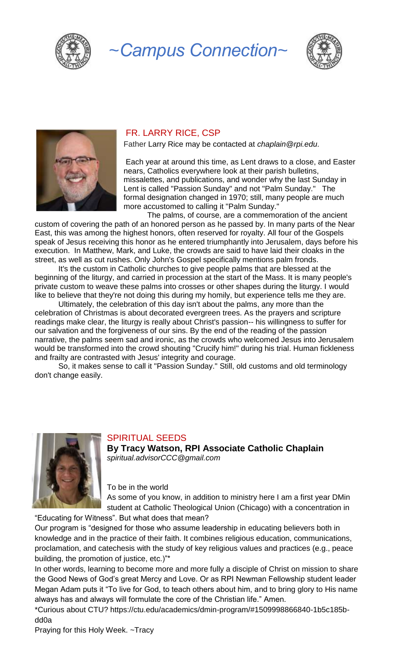

*~Campus Connection~*





#### FR. LARRY RICE, CSP

Father Larry Rice may be contacted at *[chaplain@rpi.edu.](mailto:chaplain@rpi.edu)*

Each year at around this time, as Lent draws to a close, and Easter nears, Catholics everywhere look at their parish bulletins, missalettes, and publications, and wonder why the last Sunday in Lent is called "Passion Sunday" and not "Palm Sunday." The formal designation changed in 1970; still, many people are much more accustomed to calling it "Palm Sunday."

 The palms, of course, are a commemoration of the ancient custom of covering the path of an honored person as he passed by. In many parts of the Near East, this was among the highest honors, often reserved for royalty. All four of the Gospels speak of Jesus receiving this honor as he entered triumphantly into Jerusalem, days before his execution. In Matthew, Mark, and Luke, the crowds are said to have laid their cloaks in the street, as well as cut rushes. Only John's Gospel specifically mentions palm fronds.

 It's the custom in Catholic churches to give people palms that are blessed at the beginning of the liturgy, and carried in procession at the start of the Mass. It is many people's private custom to weave these palms into crosses or other shapes during the liturgy. I would like to believe that they're not doing this during my homily, but experience tells me they are.

 Ultimately, the celebration of this day isn't about the palms, any more than the celebration of Christmas is about decorated evergreen trees. As the prayers and scripture readings make clear, the liturgy is really about Christ's passion-- his willingness to suffer for our salvation and the forgiveness of our sins. By the end of the reading of the passion narrative, the palms seem sad and ironic, as the crowds who welcomed Jesus into Jerusalem would be transformed into the crowd shouting "Crucify him!" during his trial. Human fickleness and frailty are contrasted with Jesus' integrity and courage.

 So, it makes sense to call it "Passion Sunday." Still, old customs and old terminology don't change easily.



### SPIRITUAL SEEDS

**By Tracy Watson, RPI Associate Catholic Chaplain** *[spiritual.advisorCCC@gmail.com](mailto:spiritual.advisorCCC@gmail.com)*

To be in the world

As some of you know, in addition to ministry here I am a first year DMin student at Catholic Theological Union (Chicago) with a concentration in

"Educating for Witness". But what does that mean?

Our program is "designed for those who assume leadership in educating believers both in knowledge and in the practice of their faith. It combines religious education, communications, proclamation, and catechesis with the study of key religious values and practices (e.g., peace building, the promotion of justice, etc.)"\*

In other words, learning to become more and more fully a disciple of Christ on mission to share the Good News of God's great Mercy and Love. Or as RPI Newman Fellowship student leader Megan Adam puts it "To live for God, to teach others about him, and to bring glory to His name always has and always will formulate the core of the Christian life." Amen.

\*Curious about CTU? https://ctu.edu/academics/dmin-program/#1509998866840-1b5c185bdd0a

Praying for this Holy Week. ~Tracy